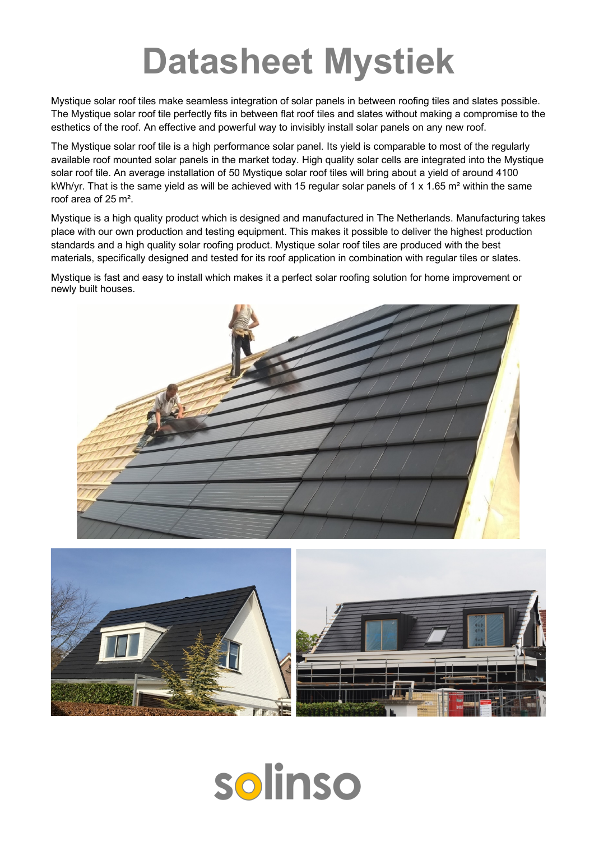## **Datasheet Mystiek**

Mystique solar roof tiles make seamless integration of solar panels in between roofing tiles and slates possible. The Mystique solar roof tile perfectly fits in between flat roof tiles and slates without making a compromise to the esthetics of the roof. An effective and powerful way to invisibly install solar panels on any new roof.

The Mystique solar roof tile is a high performance solar panel. Its yield is comparable to most of the regularly available roof mounted solar panels in the market today. High quality solar cells are integrated into the Mystique solar roof tile. An average installation of 50 Mystique solar roof tiles will bring about a yield of around 4100 kWh/yr. That is the same yield as will be achieved with 15 regular solar panels of 1 x 1.65 m<sup>2</sup> within the same roof area of 25 m².

Mystique is a high quality product which is designed and manufactured in The Netherlands. Manufacturing takes place with our own production and testing equipment. This makes it possible to deliver the highest production standards and a high quality solar roofing product. Mystique solar roof tiles are produced with the best materials, specifically designed and tested for its roof application in combination with regular tiles or slates.

Mystique is fast and easy to install which makes it a perfect solar roofing solution for home improvement or newly built houses.





# solinso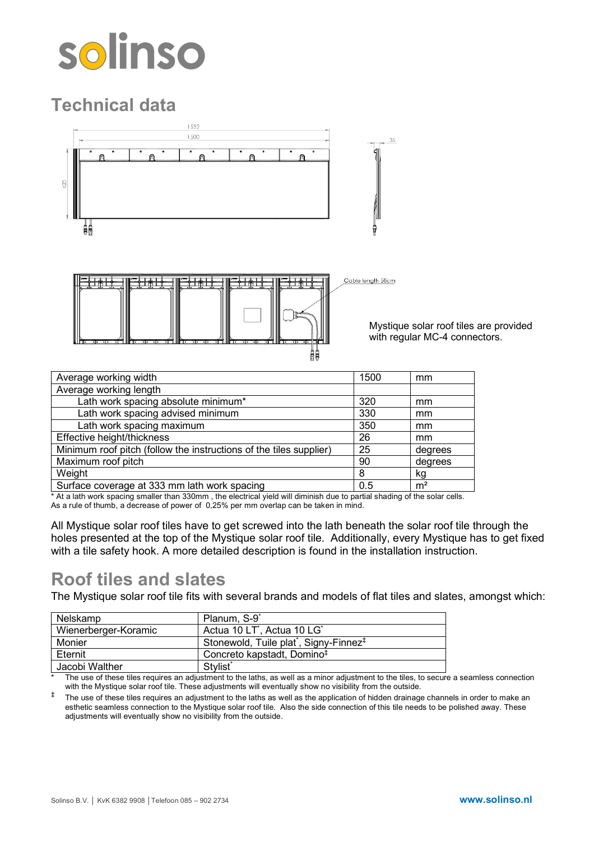# solinso

### **Technical data**



Mystique solar roof tiles are provided with regular MC-4 connectors.

| Average working width                                              | 1500 | mm             |
|--------------------------------------------------------------------|------|----------------|
| Average working length                                             |      |                |
| Lath work spacing absolute minimum*                                | 320  | mm             |
| Lath work spacing advised minimum                                  | 330  | mm             |
| Lath work spacing maximum                                          | 350  | mm             |
| Effective height/thickness                                         | 26   | mm             |
| Minimum roof pitch (follow the instructions of the tiles supplier) | 25   | degrees        |
| Maximum roof pitch                                                 | 90   | degrees        |
| Weight                                                             | 8    | kg             |
| Surface coverage at 333 mm lath work spacing                       | 0.5  | m <sup>2</sup> |

\* At a lath work spacing smaller than 330mm , the electrical yield will diminish due to partial shading of the solar cells. As a rule of thumb, a decrease of power of 0,25% per mm overlap can be taken in mind.

All Mystique solar roof tiles have to get screwed into the lath beneath the solar roof tile through the holes presented at the top of the Mystique solar roof tile. Additionally, every Mystique has to get fixed with a tile safety hook. A more detailed description is found in the installation instruction.

#### **Roof tiles and slates**

The Mystique solar roof tile fits with several brands and models of flat tiles and slates, amongst which:

| Nelskamp             | Planum, S-9 <sup>*</sup>                                       |
|----------------------|----------------------------------------------------------------|
| Wienerberger-Koramic | Actua 10 LT <sup>*</sup> , Actua 10 LG <sup>*</sup>            |
| Monier               | Stonewold, Tuile plat <sup>*</sup> , Signy-Finnez <sup>‡</sup> |
| Eternit              | Concreto kapstadt, Domino <sup>‡</sup>                         |
| Jacobi Walther       | Stylist <sup>*</sup>                                           |

The use of these tiles requires an adjustment to the laths, as well as a minor adjustment to the tiles, to secure a seamless connection with the Mystique solar roof tile. These adjustments will eventually show no visibility from the outside.

 $<sup>‡</sup>$  The use of these tiles requires an adjustment to the laths as well as the application of hidden drainage channels in order to make an</sup> esthetic seamless connection to the Mystique solar roof tile. Also the side connection of this tile needs to be polished away. These adjustments will eventually show no visibility from the outside.